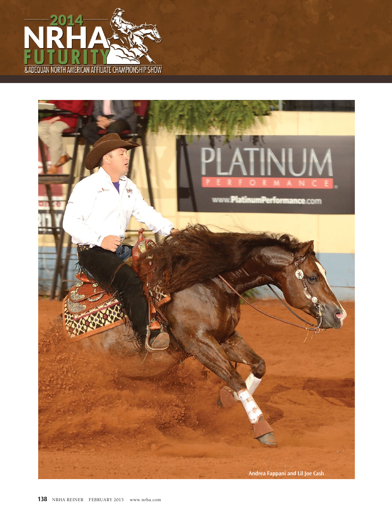

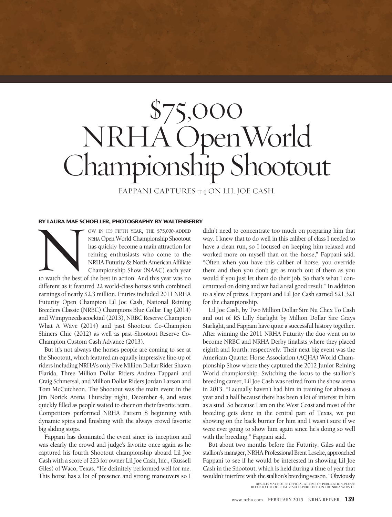## \$75,000 NRHA OpenWorld Championship Shootout

FAPPANI CAPTURES #4 ON LIL JOE CASH.

## **BY LAURA MAE SCHOELLER, PHOTOGRAPHY BY WALTENBERRY**

OW IN ITS FIFTH YEAR, THE \$75,000-ADDED NRHA Open World Championship Shootout has quickly become a main attraction for reining enthusiasts who come to the NRHA Futurity & North American Affiliate Championship Show (NAAC) each year to watch the best of the best in action. And this year was no different as it featured 22 world-class horses with combined earnings of nearly \$2.3 million. Entries included 2011 NRHA Futurity Open Champion Lil Joe Cash, National Reining Breeders Classic (NRBC) Champions Blue Collar Tag (2014) and Wimpyneedsacocktail (2013), NRBC Reserve Champion What A Wave (2014) and past Shootout Co-Champion Shiners Chic (2012) as well as past Shootout Reserve Co-Champion Custom Cash Advance (2013). to watch the best of

But it's not always the horses people are coming to see at the Shootout, which featured an equally impressive line-up of riders including NRHA's only Five Million Dollar Rider Shawn Flarida, Three Million Dollar Riders Andrea Fappani and Craig Schmersal, and Million Dollar Riders Jordan Larson and Tom McCutcheon. The Shootout was the main event in the Jim Norick Arena Thursday night, December 4, and seats quickly filled as people waited to cheer on their favorite team. Competitors performed NRHA Pattern 8 beginning with dynamic spins and finishing with the always crowd favorite big sliding stops.

Fappani has dominated the event since its inception and was clearly the crowd and judge's favorite once again as he captured his fourth Shootout championship aboard Lil Joe Cash with a score of 223 for owner Lil Joe Cash, Inc., (Russell Giles) of Waco, Texas. "He definitely performed well for me. This horse has a lot of presence and strong maneuvers so I

didn't need to concentrate too much on preparing him that way. I knew that to do well in this caliber of class I needed to have a clean run, so I focused on keeping him relaxed and worked more on myself than on the horse," Fappani said. "Often when you have this caliber of horse, you override them and then you don't get as much out of them as you would if you just let them do their job. So that's what I concentrated on doing and we had a real good result." In addition to a slew of prizes, Fappani and Lil Joe Cash earned \$21,321 for the championship.

Lil Joe Cash, by Two Million Dollar Sire Nu Chex To Cash and out of RS Lilly Starlight by Million Dollar Sire Grays Starlight, and Fappani have quite a successful history together. After winning the 2011 NRHA Futurity the duo went on to become NRBC and NRHA Derby finalists where they placed eighth and fourth, respectively. Their next big event was the American Quarter Horse Association (AQHA) World Championship Show where they captured the 2012 Junior Reining World championship. Switching the focus to the stallion's breeding career, Lil Joe Cash was retired from the show arena in 2013. "I actually haven't had him in training for almost a year and a half because there has been a lot of interest in him as a stud. So because I am on the West Coast and most of the breeding gets done in the central part of Texas, we put showing on the back burner for him and I wasn't sure if we were ever going to show him again since he's doing so well with the breeding," Fappani said.

But about two months before the Futurity, Giles and the stallion's manager, NRHA Professional Brent Loseke, approached Fappani to see if he would be interested in showing Lil Joe Cash in the Shootout, which is held during a time of year that wouldn't interfere with the stallion's breeding season. "Obviously RESULTS MAY NOT BE OFFICIAL AT TIME OF PUBLICATION, PLEASE REFER TO THE OFFICIAL RESULTS PUBLISHED ON THE NRHA WEBSITE.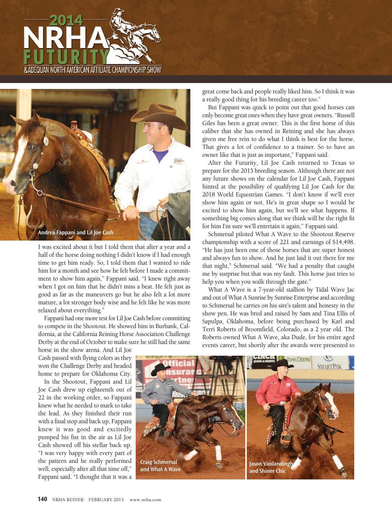



I was excited about it but I told them that after a year and a half of the horse doing nothing I didn't know if I had enough time to get him ready. So, I told them that I wanted to ride him for a month and see how he felt before I made a commitment to show him again," Fappani said. "I knew right away when I got on him that he didn't miss a beat. He felt just as good as far as the maneuvers go but he also felt a lot more mature, a lot stronger body wise and he felt like he was more relaxed about everything."

Fappani had one more test for Lil Joe Cash before committing to compete in the Shootout. He showed him in Burbank, California, at the California Reining Horse Association Challenge Derby at the end of October to make sure he still had the same

horse in the show arena. And Lil Joe Cash passed with flying colors as they won the Challenge Derby and headed home to prepare for Oklahoma City.

In the Shootout, Fappani and Lil Joe Cash drew up eighteenth out of 22 in the working order, so Fappani knew what he needed to mark to take the lead. As they finished their run with a final stop and back up, Fappani knew it was good and excitedly pumped his fist in the air as Lil Joe Cash showed off his stellar back up. "I was very happy with every part of the pattern and he really performed well, especially after all that time off," Fappani said. "I thought that it was a

great come back and people really liked him. So I think it was a really good thing for his breeding career too."

But Fappani was quick to point out that good horses can only become great ones when they have great owners. "Russell Giles has been a great owner. This is the first horse of this caliber that she has owned in Reining and she has always given me free rein to do what I think is best for the horse. That gives a lot of confidence to a trainer. So to have an owner like that is just as important," Fappani said.

After the Futurity, Lil Joe Cash returned to Texas to prepare for the 2015 breeding season. Although there are not any future shows on the calendar for Lil Joe Cash, Fappani hinted at the possibility of qualifying Lil Joe Cash for the 2018 World Equestrian Games. "I don't know if we'll ever show him again or not. He's in great shape so I would be excited to show him again, but we'll see what happens. If something big comes along that we think will be the right fit for him I'm sure we'll entertain it again," Fappani said.

Schmersal piloted What A Wave to the Shootout Reserve championship with a score of 221 and earnings of \$14,498. "He has just been one of those horses that are super honest and always fun to show. And he just laid it out there for me that night," Schmersal said. "We had a penalty that caught me by surprise but that was my fault. This horse just tries to help you when you walk through the gate."

What A Wave is a 7-year-old stallion by Tidal Wave Jac and out of What A Sunrise by Sunrise Enterprise and according to Schmersal he carries on his sire's talent and honesty in the show pen. He was bred and raised by Sam and Tina Ellis of Sapulpa, Oklahoma, before being purchased by Karl and Terri Roberts of Broomfield, Colorado, as a 2 year old. The Roberts owned What A Wave, aka Dude, for his entire aged events career, but shortly after the awards were presented to